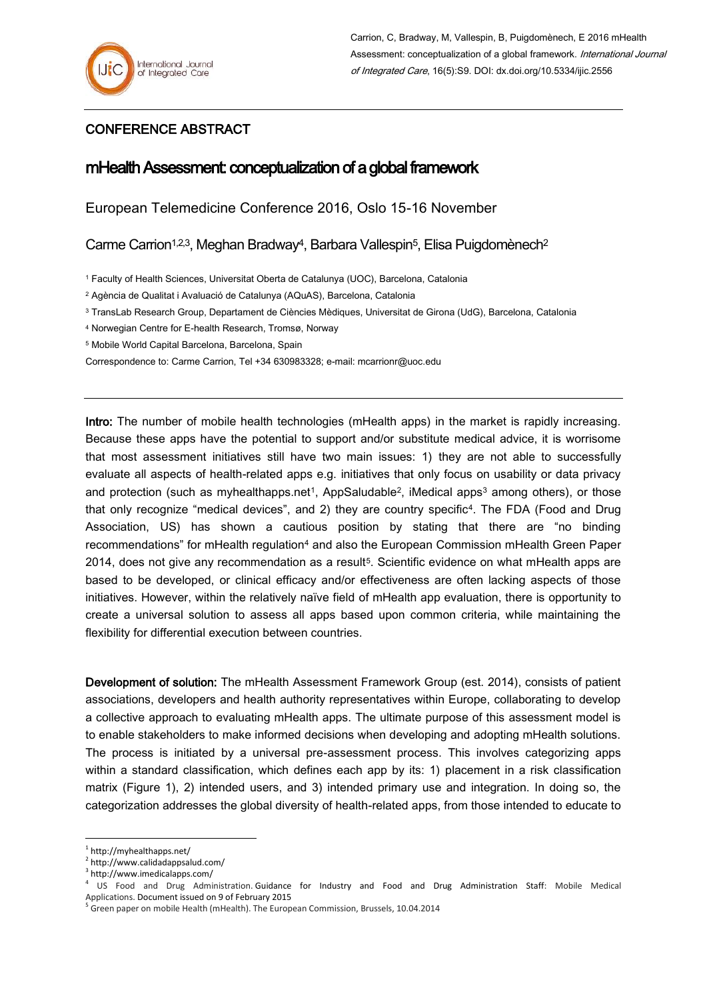## CONFERENCE ABSTRACT

## mHealth Assessment: conceptualization of a global framework

European Telemedicine Conference 2016, Oslo 15-16 November

Carme Carrion<sup>1,2,3</sup>, Meghan Bradway<sup>4</sup>, Barbara Vallespin<sup>5</sup>, Elisa Puigdomènech<sup>2</sup>

<sup>1</sup> Faculty of Health Sciences, Universitat Oberta de Catalunya (UOC), Barcelona, Catalonia

<sup>2</sup> Agència de Qualitat i Avaluació de Catalunya (AQuAS), Barcelona, Catalonia

<sup>3</sup> TransLab Research Group, Departament de Ciències Mèdiques, Universitat de Girona (UdG), Barcelona, Catalonia

<sup>4</sup> Norwegian Centre for E-health Research, Tromsø, Norway

<sup>5</sup> Mobile World Capital Barcelona, Barcelona, Spain

Correspondence to: Carme Carrion, Tel +34 630983328; e-mail: mcarrionr@uoc.edu

Intro: The number of mobile health technologies (mHealth apps) in the market is rapidly increasing. Because these apps have the potential to support and/or substitute medical advice, it is worrisome that most assessment initiatives still have two main issues: 1) they are not able to successfully evaluate all aspects of health-related apps e.g. initiatives that only focus on usability or data privacy and protection (such as myhealthapps.net<sup>1</sup>, AppSaludable<sup>2</sup>, iMedical apps<sup>3</sup> among others), or those that only recognize "medical devices", and 2) they are country specific4. The FDA (Food and Drug Association, US) has shown a cautious position by stating that there are "no binding recommendations" for mHealth regulation<sup>4</sup> and also the European Commission mHealth Green Paper 2014, does not give any recommendation as a result<sup>5</sup>. Scientific evidence on what mHealth apps are based to be developed, or clinical efficacy and/or effectiveness are often lacking aspects of those initiatives. However, within the relatively naïve field of mHealth app evaluation, there is opportunity to create a universal solution to assess all apps based upon common criteria, while maintaining the flexibility for differential execution between countries.

Development of solution: The mHealth Assessment Framework Group (est. 2014), consists of patient associations, developers and health authority representatives within Europe, collaborating to develop a collective approach to evaluating mHealth apps. The ultimate purpose of this assessment model is to enable stakeholders to make informed decisions when developing and adopting mHealth solutions. The process is initiated by a universal pre-assessment process. This involves categorizing apps within a standard classification, which defines each app by its: 1) placement in a risk classification matrix (Figure 1), 2) intended users, and 3) intended primary use and integration. In doing so, the categorization addresses the global diversity of health-related apps, from those intended to educate to

1

<sup>1</sup> http://myhealthapps.net/

<sup>&</sup>lt;sup>2</sup> http://www.calidadappsalud.com/

http://www.imedicalapps.com/

<sup>4</sup> US Food and Drug Administration. Guidance for Industry and Food and Drug Administration Staff: Mobile Medical Applications. Document issued on 9 of February 2015

<sup>&</sup>lt;sup>5</sup> Green paper on mobile Health (mHealth). The European Commission, Brussels, 10.04.2014